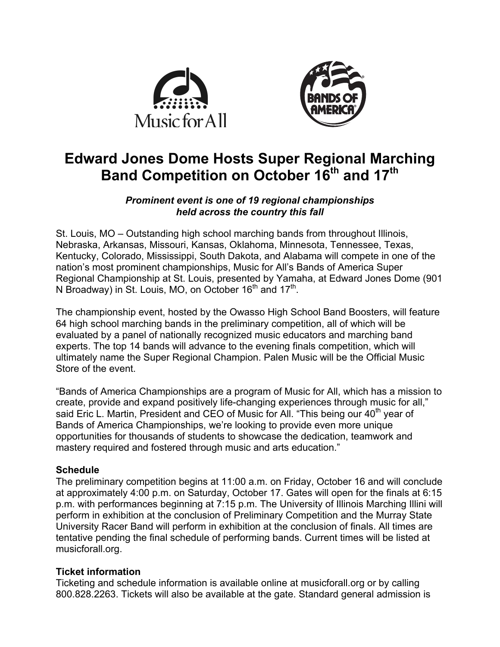



# **Edward Jones Dome Hosts Super Regional Marching Band Competition on October 16th and 17th**

## *Prominent event is one of 19 regional championships held across the country this fall*

St. Louis, MO – Outstanding high school marching bands from throughout Illinois, Nebraska, Arkansas, Missouri, Kansas, Oklahoma, Minnesota, Tennessee, Texas, Kentucky, Colorado, Mississippi, South Dakota, and Alabama will compete in one of the nation's most prominent championships, Music for All's Bands of America Super Regional Championship at St. Louis, presented by Yamaha, at Edward Jones Dome (901 N Broadway) in St. Louis, MO, on October  $16<sup>th</sup>$  and  $17<sup>th</sup>$ .

The championship event, hosted by the Owasso High School Band Boosters, will feature 64 high school marching bands in the preliminary competition, all of which will be evaluated by a panel of nationally recognized music educators and marching band experts. The top 14 bands will advance to the evening finals competition, which will ultimately name the Super Regional Champion. Palen Music will be the Official Music Store of the event.

"Bands of America Championships are a program of Music for All, which has a mission to create, provide and expand positively life-changing experiences through music for all," said Eric L. Martin, President and CEO of Music for All. "This being our  $40<sup>th</sup>$  year of Bands of America Championships, we're looking to provide even more unique opportunities for thousands of students to showcase the dedication, teamwork and mastery required and fostered through music and arts education."

## **Schedule**

The preliminary competition begins at 11:00 a.m. on Friday, October 16 and will conclude at approximately 4:00 p.m. on Saturday, October 17. Gates will open for the finals at 6:15 p.m. with performances beginning at 7:15 p.m. The University of Illinois Marching Illini will perform in exhibition at the conclusion of Preliminary Competition and the Murray State University Racer Band will perform in exhibition at the conclusion of finals. All times are tentative pending the final schedule of performing bands. Current times will be listed at musicforall.org.

# **Ticket information**

Ticketing and schedule information is available online at musicforall.org or by calling 800.828.2263. Tickets will also be available at the gate. Standard general admission is